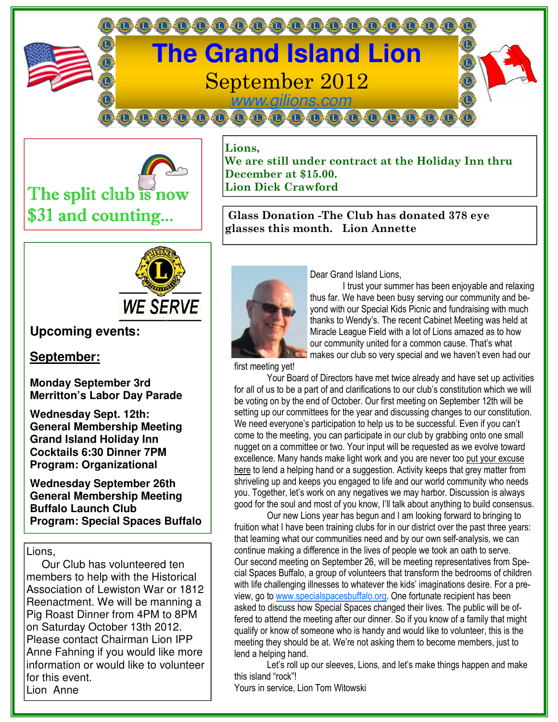



Lions, We are still under contract at the Holiday Inn thru December at \$15.00. Lion Dick Crawford

 Glass Donation -The Club has donated 378 eye glasses this month. Lion Annette



# **Upcoming events:**

### **September:**

**Monday September 3rd Merritton's Labor Day Parade** 

**Wednesday Sept. 12th: General Membership Meeting Grand Island Holiday Inn Cocktails 6:30 Dinner 7PM Program: Organizational** 

**Wednesday September 26th General Membership Meeting Buffalo Launch Club Program: Special Spaces Buffalo** 

#### Lions.

 Our Club has volunteered ten members to help with the Historical Association of Lewiston War or 1812 Reenactment. We will be manning a Pig Roast Dinner from 4PM to 8PM on Saturday October 13th 2012. Please contact Chairman Lion IPP Anne Fahning if you would like more information or would like to volunteer for this event. Lion Anne



Dear Grand Island Lions,

 I trust your summer has been enjoyable and relaxing thus far. We have been busy serving our community and beyond with our Special Kids Picnic and fundraising with much thanks to Wendy's. The recent Cabinet Meeting was held at Miracle League Field with a lot of Lions amazed as to how our community united for a common cause. That's what makes our club so very special and we haven't even had our

first meeting yet!

 Your Board of Directors have met twice already and have set up activities for all of us to be a part of and clarifications to our club's constitution which we will be voting on by the end of October. Our first meeting on September 12th will be setting up our committees for the year and discussing changes to our constitution. We need everyone's participation to help us to be successful. Even if you can't come to the meeting, you can participate in our club by grabbing onto one small nugget on a committee or two. Your input will be requested as we evolve toward excellence. Many hands make light work and you are never too put your excuse here to lend a helping hand or a suggestion. Activity keeps that grey matter from shriveling up and keeps you engaged to life and our world community who needs you. Together, let's work on any negatives we may harbor. Discussion is always good for the soul and most of you know, I'll talk about anything to build consensus.

 Our new Lions year has begun and I am looking forward to bringing to fruition what I have been training clubs for in our district over the past three years: that learning what our communities need and by our own self-analysis, we can continue making a difference in the lives of people we took an oath to serve. Our second meeting on September 26, will be meeting representatives from Special Spaces Buffalo, a group of volunteers that transform the bedrooms of children with life challenging illnesses to whatever the kids' imaginations desire. For a preview, go to www.specialspacesbuffalo.org. One fortunate recipient has been asked to discuss how Special Spaces changed their lives. The public will be offered to attend the meeting after our dinner. So if you know of a family that might qualify or know of someone who is handy and would like to volunteer, this is the meeting they should be at. We're not asking them to become members, just to lend a helping hand.

 Let's roll up our sleeves, Lions, and let's make things happen and make this island "rock"!

Yours in service, Lion Tom Witowski